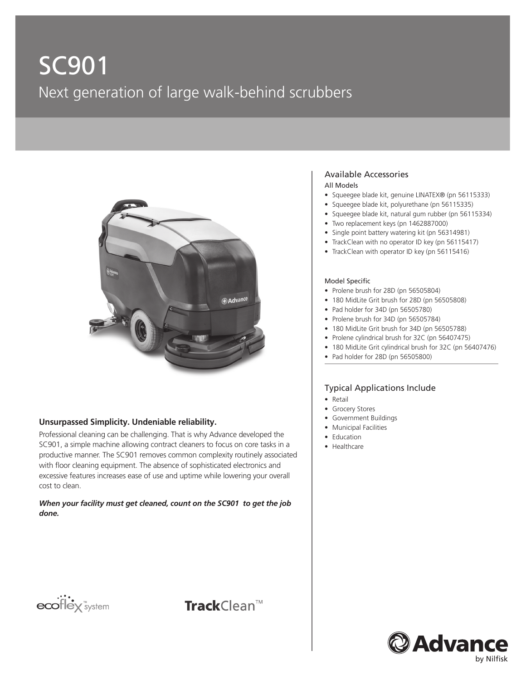# SC901 Next generation of large walk-behind scrubbers



#### **Unsurpassed Simplicity. Undeniable reliability.**

Professional cleaning can be challenging. That is why Advance developed the SC901, a simple machine allowing contract cleaners to focus on core tasks in a productive manner. The SC901 removes common complexity routinely associated with floor cleaning equipment. The absence of sophisticated electronics and excessive features increases ease of use and uptime while lowering your overall cost to clean.

*When your facility must get cleaned, count on the SC901 to get the job done.*

## ecoflex<sup>"system</sup>



#### Available Accessories

#### All Models

- Squeegee blade kit, genuine LINATEX® (pn 56115333)
- Squeegee blade kit, polyurethane (pn 56115335)
- Squeegee blade kit, natural gum rubber (pn 56115334)
- Two replacement keys (pn 1462887000)
- Single point battery watering kit (pn 56314981)
- TrackClean with no operator ID key (pn 56115417)
- TrackClean with operator ID key (pn 56115416)

#### Model Specific

- Prolene brush for 28D (pn 56505804)
- 180 MidLite Grit brush for 28D (pn 56505808)
- Pad holder for 34D (pn 56505780)
- Prolene brush for 34D (pn 56505784)
- 180 MidLite Grit brush for 34D (pn 56505788)
- Prolene cylindrical brush for 32C (pn 56407475)
- 180 MidLite Grit cylindrical brush for 32C (pn 56407476)
- Pad holder for 28D (pn 56505800)

#### Typical Applications Include

- Retail
- Grocery Stores
- Government Buildings
- Municipal Facilities
- Education
- Healthcare